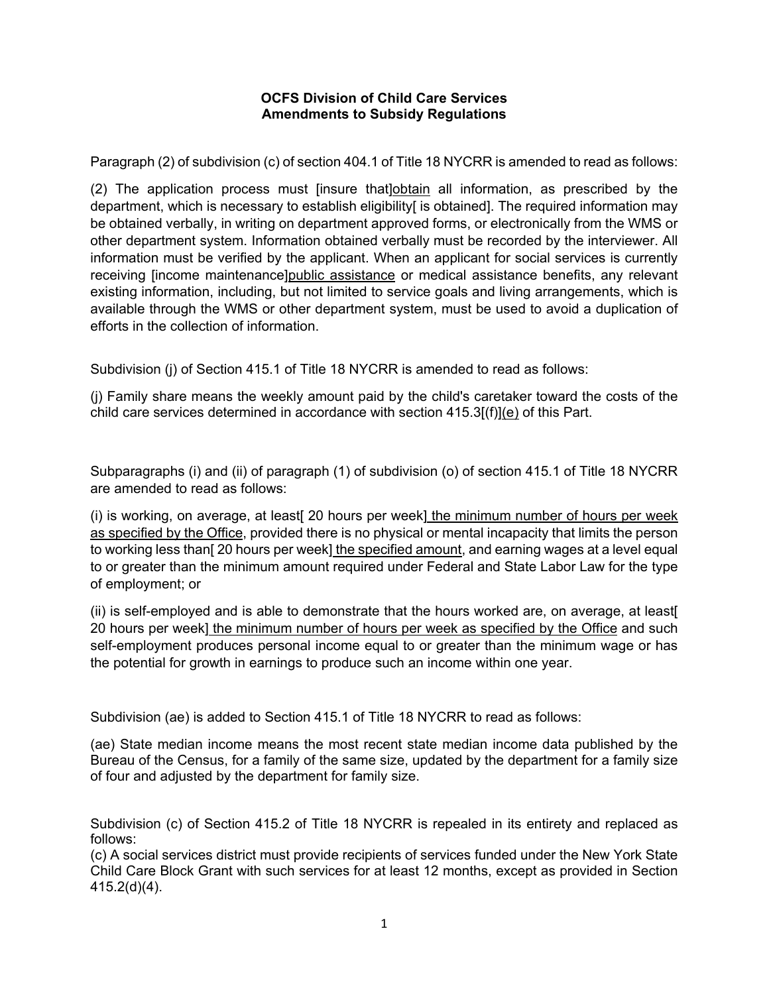## **OCFS Division of Child Care Services Amendments to Subsidy Regulations**

Paragraph (2) of subdivision (c) of section 404.1 of Title 18 NYCRR is amended to read as follows:

(2) The application process must [insure that]obtain all information, as prescribed by the department, which is necessary to establish eligibility[ is obtained]. The required information may be obtained verbally, in writing on department approved forms, or electronically from the WMS or other department system. Information obtained verbally must be recorded by the interviewer. All information must be verified by the applicant. When an applicant for social services is currently receiving [income maintenance]public assistance or medical assistance benefits, any relevant existing information, including, but not limited to service goals and living arrangements, which is available through the WMS or other department system, must be used to avoid a duplication of efforts in the collection of information.

Subdivision (i) of Section 415.1 of Title 18 NYCRR is amended to read as follows:

(j) Family share means the weekly amount paid by the child's caretaker toward the costs of the child care services determined in accordance with section  $415.3$ [(f)](e) of this Part.

Subparagraphs (i) and (ii) of paragraph (1) of subdivision (o) of section 415.1 of Title 18 NYCRR are amended to read as follows:

(i) is working, on average, at least[ 20 hours per week] the minimum number of hours per week as specified by the Office, provided there is no physical or mental incapacity that limits the person to working less than[ 20 hours per week] the specified amount, and earning wages at a level equal to or greater than the minimum amount required under Federal and State Labor Law for the type of employment; or

(ii) is self-employed and is able to demonstrate that the hours worked are, on average, at least[ 20 hours per week] the minimum number of hours per week as specified by the Office and such self-employment produces personal income equal to or greater than the minimum wage or has the potential for growth in earnings to produce such an income within one year.

Subdivision (ae) is added to Section 415.1 of Title 18 NYCRR to read as follows:

(ae) State median income means the most recent state median income data published by the Bureau of the Census, for a family of the same size, updated by the department for a family size of four and adjusted by the department for family size.

Subdivision (c) of Section 415.2 of Title 18 NYCRR is repealed in its entirety and replaced as follows:

(c) A social services district must provide recipients of services funded under the New York State Child Care Block Grant with such services for at least 12 months, except as provided in Section 415.2(d)(4).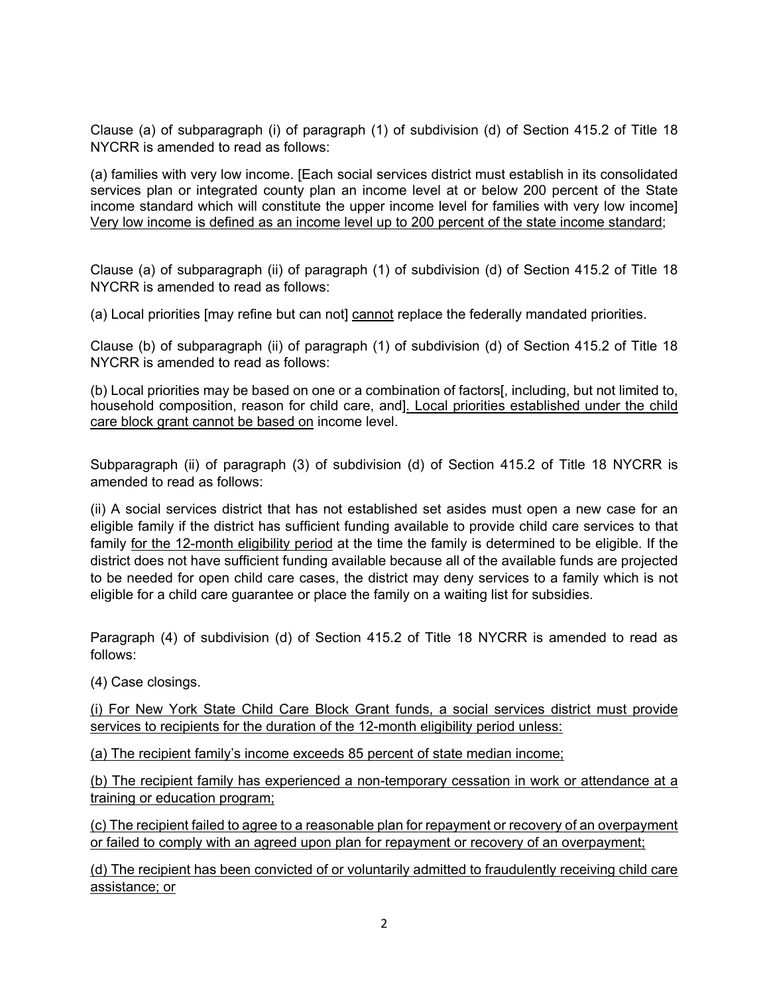Clause (a) of subparagraph (i) of paragraph (1) of subdivision (d) of Section 415.2 of Title 18 NYCRR is amended to read as follows:

(a) families with very low income. [Each social services district must establish in its consolidated services plan or integrated county plan an income level at or below 200 percent of the State income standard which will constitute the upper income level for families with very low income] Very low income is defined as an income level up to 200 percent of the state income standard;

Clause (a) of subparagraph (ii) of paragraph (1) of subdivision (d) of Section 415.2 of Title 18 NYCRR is amended to read as follows:

(a) Local priorities [may refine but can not] cannot replace the federally mandated priorities.

Clause (b) of subparagraph (ii) of paragraph (1) of subdivision (d) of Section 415.2 of Title 18 NYCRR is amended to read as follows:

(b) Local priorities may be based on one or a combination of factors[, including, but not limited to, household composition, reason for child care, and]. Local priorities established under the child care block grant cannot be based on income level.

Subparagraph (ii) of paragraph (3) of subdivision (d) of Section 415.2 of Title 18 NYCRR is amended to read as follows:

(ii) A social services district that has not established set asides must open a new case for an eligible family if the district has sufficient funding available to provide child care services to that family for the 12-month eligibility period at the time the family is determined to be eligible. If the district does not have sufficient funding available because all of the available funds are projected to be needed for open child care cases, the district may deny services to a family which is not eligible for a child care guarantee or place the family on a waiting list for subsidies.

Paragraph (4) of subdivision (d) of Section 415.2 of Title 18 NYCRR is amended to read as follows:

(4) Case closings.

(i) For New York State Child Care Block Grant funds, a social services district must provide services to recipients for the duration of the 12-month eligibility period unless:

(a) The recipient family's income exceeds 85 percent of state median income;

(b) The recipient family has experienced a non-temporary cessation in work or attendance at a training or education program;

(c) The recipient failed to agree to a reasonable plan for repayment or recovery of an overpayment or failed to comply with an agreed upon plan for repayment or recovery of an overpayment;

(d) The recipient has been convicted of or voluntarily admitted to fraudulently receiving child care assistance; or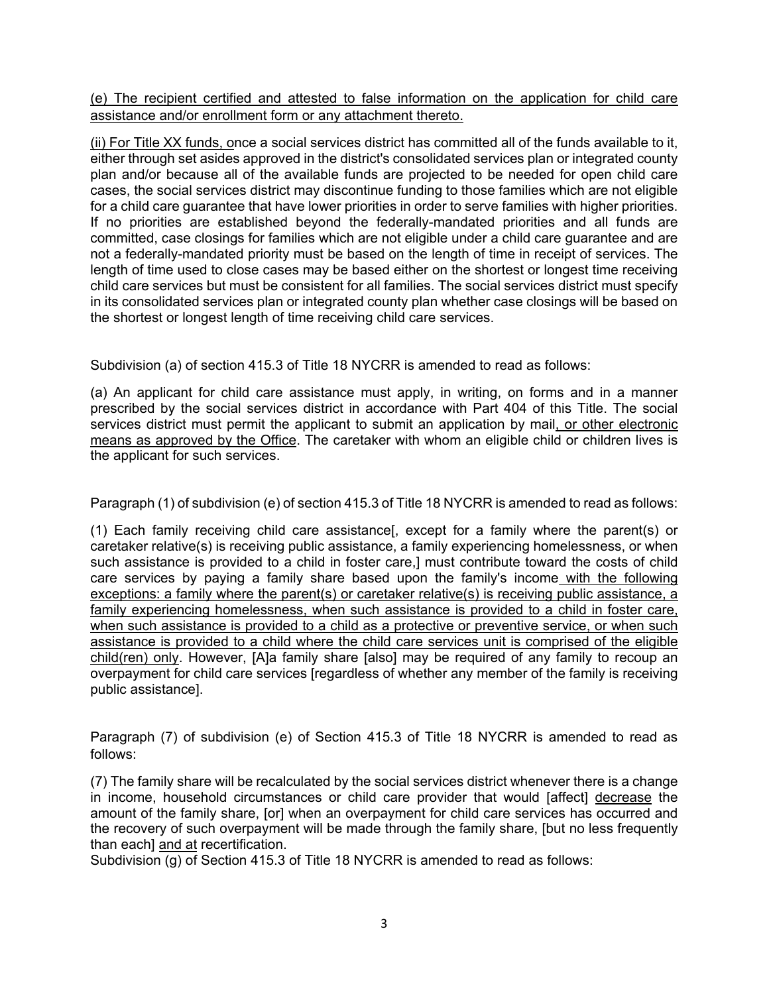(e) The recipient certified and attested to false information on the application for child care assistance and/or enrollment form or any attachment thereto.

(ii) For Title XX funds, once a social services district has committed all of the funds available to it, either through set asides approved in the district's consolidated services plan or integrated county plan and/or because all of the available funds are projected to be needed for open child care cases, the social services district may discontinue funding to those families which are not eligible for a child care guarantee that have lower priorities in order to serve families with higher priorities. If no priorities are established beyond the federally-mandated priorities and all funds are committed, case closings for families which are not eligible under a child care guarantee and are not a federally-mandated priority must be based on the length of time in receipt of services. The length of time used to close cases may be based either on the shortest or longest time receiving child care services but must be consistent for all families. The social services district must specify in its consolidated services plan or integrated county plan whether case closings will be based on the shortest or longest length of time receiving child care services.

Subdivision (a) of section 415.3 of Title 18 NYCRR is amended to read as follows:

(a) An applicant for child care assistance must apply, in writing, on forms and in a manner prescribed by the social services district in accordance with Part 404 of this Title. The social services district must permit the applicant to submit an application by mail, or other electronic means as approved by the Office. The caretaker with whom an eligible child or children lives is the applicant for such services.

Paragraph (1) of subdivision (e) of section 415.3 of Title 18 NYCRR is amended to read as follows:

(1) Each family receiving child care assistance[, except for a family where the parent(s) or caretaker relative(s) is receiving public assistance, a family experiencing homelessness, or when such assistance is provided to a child in foster care.] must contribute toward the costs of child care services by paying a family share based upon the family's income with the following exceptions: a family where the parent(s) or caretaker relative(s) is receiving public assistance, a family experiencing homelessness, when such assistance is provided to a child in foster care, when such assistance is provided to a child as a protective or preventive service, or when such assistance is provided to a child where the child care services unit is comprised of the eligible child(ren) only. However, [A]a family share [also] may be required of any family to recoup an overpayment for child care services [regardless of whether any member of the family is receiving public assistance].

Paragraph (7) of subdivision (e) of Section 415.3 of Title 18 NYCRR is amended to read as follows:

(7) The family share will be recalculated by the social services district whenever there is a change in income, household circumstances or child care provider that would [affect] decrease the amount of the family share, [or] when an overpayment for child care services has occurred and the recovery of such overpayment will be made through the family share, [but no less frequently than each] and at recertification.

Subdivision (g) of Section 415.3 of Title 18 NYCRR is amended to read as follows: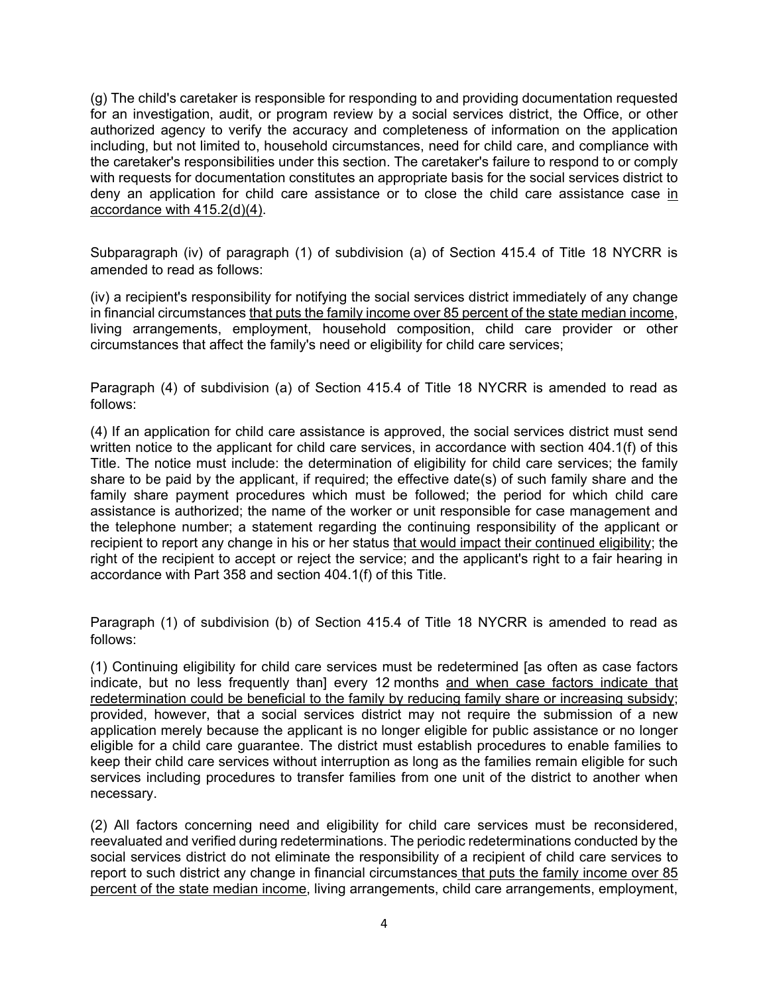(g) The child's caretaker is responsible for responding to and providing documentation requested for an investigation, audit, or program review by a social services district, the Office, or other authorized agency to verify the accuracy and completeness of information on the application including, but not limited to, household circumstances, need for child care, and compliance with the caretaker's responsibilities under this section. The caretaker's failure to respond to or comply with requests for documentation constitutes an appropriate basis for the social services district to deny an application for child care assistance or to close the child care assistance case in accordance with 415.2(d)(4).

Subparagraph (iv) of paragraph (1) of subdivision (a) of Section 415.4 of Title 18 NYCRR is amended to read as follows:

(iv) a recipient's responsibility for notifying the social services district immediately of any change in financial circumstances that puts the family income over 85 percent of the state median income, living arrangements, employment, household composition, child care provider or other circumstances that affect the family's need or eligibility for child care services;

Paragraph (4) of subdivision (a) of Section 415.4 of Title 18 NYCRR is amended to read as follows:

(4) If an application for child care assistance is approved, the social services district must send written notice to the applicant for child care services, in accordance with section 404.1(f) of this Title. The notice must include: the determination of eligibility for child care services; the family share to be paid by the applicant, if required; the effective date(s) of such family share and the family share payment procedures which must be followed; the period for which child care assistance is authorized; the name of the worker or unit responsible for case management and the telephone number; a statement regarding the continuing responsibility of the applicant or recipient to report any change in his or her status that would impact their continued eligibility; the right of the recipient to accept or reject the service; and the applicant's right to a fair hearing in accordance with Part 358 and section 404.1(f) of this Title.

Paragraph (1) of subdivision (b) of Section 415.4 of Title 18 NYCRR is amended to read as follows:

(1) Continuing eligibility for child care services must be redetermined [as often as case factors indicate, but no less frequently than] every 12 months and when case factors indicate that redetermination could be beneficial to the family by reducing family share or increasing subsidy; provided, however, that a social services district may not require the submission of a new application merely because the applicant is no longer eligible for public assistance or no longer eligible for a child care guarantee. The district must establish procedures to enable families to keep their child care services without interruption as long as the families remain eligible for such services including procedures to transfer families from one unit of the district to another when necessary.

(2) All factors concerning need and eligibility for child care services must be reconsidered, reevaluated and verified during redeterminations. The periodic redeterminations conducted by the social services district do not eliminate the responsibility of a recipient of child care services to report to such district any change in financial circumstances that puts the family income over 85 percent of the state median income, living arrangements, child care arrangements, employment,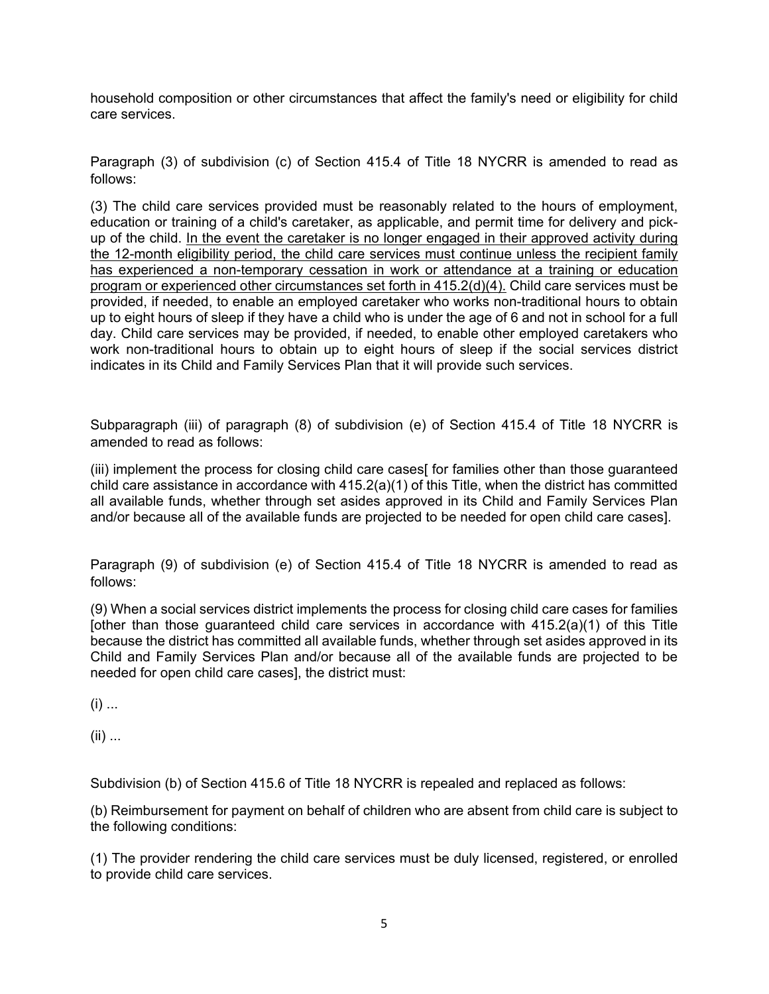household composition or other circumstances that affect the family's need or eligibility for child care services.

Paragraph (3) of subdivision (c) of Section 415.4 of Title 18 NYCRR is amended to read as follows:

(3) The child care services provided must be reasonably related to the hours of employment, education or training of a child's caretaker, as applicable, and permit time for delivery and pickup of the child. In the event the caretaker is no longer engaged in their approved activity during the 12-month eligibility period, the child care services must continue unless the recipient family has experienced a non-temporary cessation in work or attendance at a training or education program or experienced other circumstances set forth in 415.2(d)(4). Child care services must be provided, if needed, to enable an employed caretaker who works non-traditional hours to obtain up to eight hours of sleep if they have a child who is under the age of 6 and not in school for a full day. Child care services may be provided, if needed, to enable other employed caretakers who work non-traditional hours to obtain up to eight hours of sleep if the social services district indicates in its Child and Family Services Plan that it will provide such services.

Subparagraph (iii) of paragraph (8) of subdivision (e) of Section 415.4 of Title 18 NYCRR is amended to read as follows:

(iii) implement the process for closing child care cases[ for families other than those guaranteed child care assistance in accordance with 415.2(a)(1) of this Title, when the district has committed all available funds, whether through set asides approved in its Child and Family Services Plan and/or because all of the available funds are projected to be needed for open child care cases].

Paragraph (9) of subdivision (e) of Section 415.4 of Title 18 NYCRR is amended to read as follows:

(9) When a social services district implements the process for closing child care cases for families [other than those guaranteed child care services in accordance with 415.2(a)(1) of this Title because the district has committed all available funds, whether through set asides approved in its Child and Family Services Plan and/or because all of the available funds are projected to be needed for open child care cases], the district must:

 $(i)$  ...

(ii) ...

Subdivision (b) of Section 415.6 of Title 18 NYCRR is repealed and replaced as follows:

(b) Reimbursement for payment on behalf of children who are absent from child care is subject to the following conditions:

(1) The provider rendering the child care services must be duly licensed, registered, or enrolled to provide child care services.